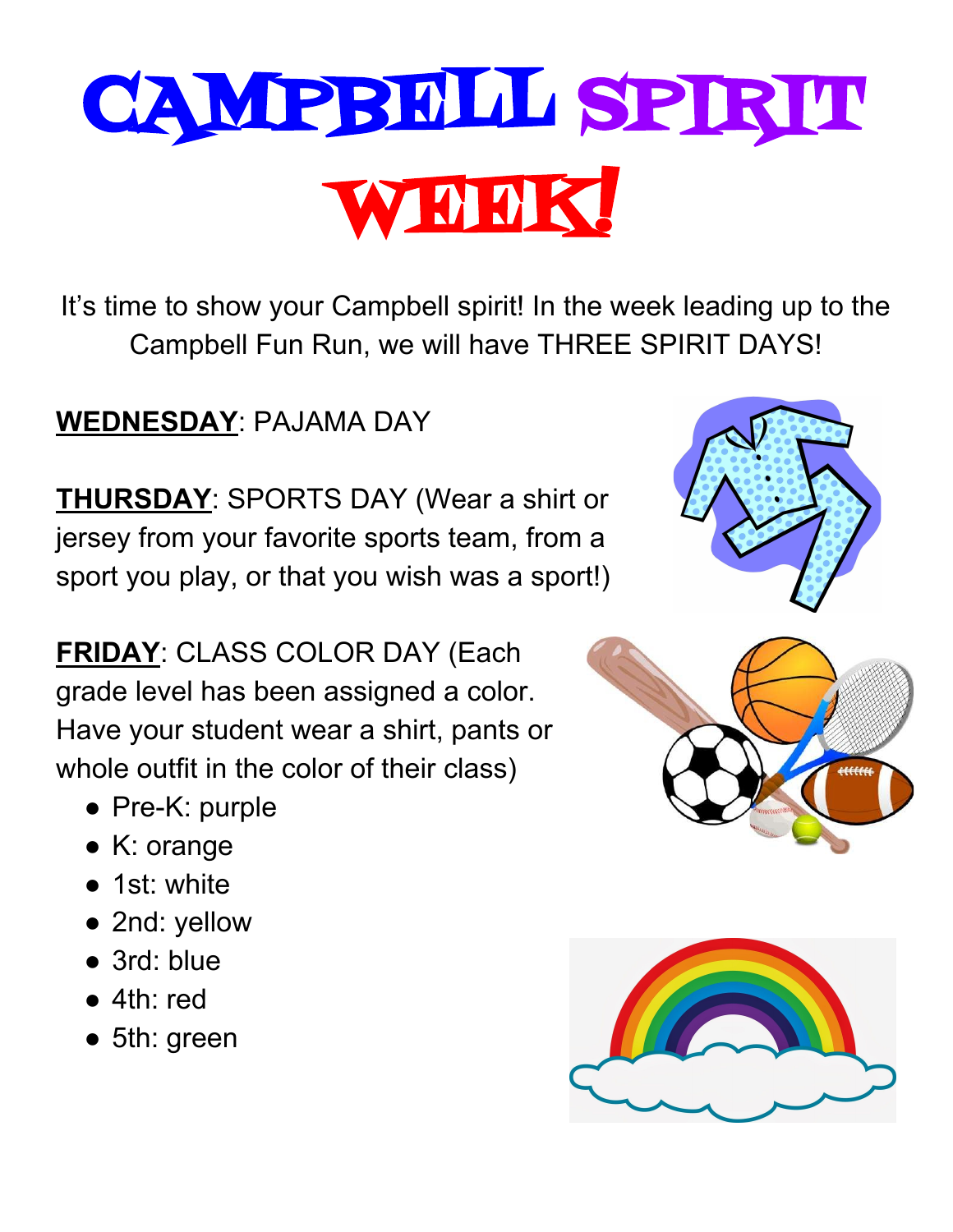## CAMPBELL SPIRIT WEEK!

It's time to show your Campbell spirit! In the week leading up to the Campbell Fun Run, we will have THREE SPIRIT DAYS!

## **WEDNESDAY**: PAJAMA DAY

**THURSDAY**: SPORTS DAY (Wear a shirt or jersey from your favorite sports team, from a sport you play, or that you wish was a sport!)

**FRIDAY**: CLASS COLOR DAY (Each grade level has been assigned a color. Have your student wear a shirt, pants or whole outfit in the color of their class)

- Pre-K: purple
- K: orange
- 1st: white
- 2nd: yellow
- 3rd: blue
- 4th: red
- 5th: green